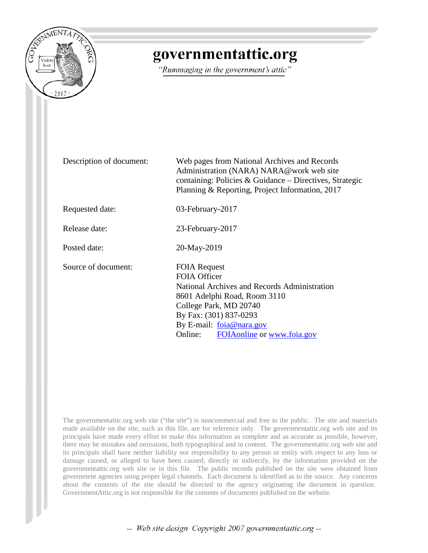

## governmentattic.org

"Rummaging in the government's attic"

Description of document: Web pages from National Archives and Records Administration (NARA) NARA@work web site containing: Policies & Guidance – Directives, Strategic Planning & Reporting, Project Information, 2017 Requested date: 03-February-2017 Release date: 23-February-2017 Posted date: 20-May-2019 Source of document: FOIA Request FOIA Officer National Archives and Records Administration 8601 Adelphi Road, Room 3110 College Park, MD 20740 By Fax: (301) 837-0293 By E-mail: [foia@nara.gov](mailto:foia@nara.gov) Online: [FOIAonline](https://foiaonline.gov/foiaonline/action/public/home) or [www.foia.gov](https://www.foia.gov/)

The governmentattic.org web site ("the site") is noncommercial and free to the public. The site and materials made available on the site, such as this file, are for reference only. The governmentattic.org web site and its principals have made every effort to make this information as complete and as accurate as possible, however, there may be mistakes and omissions, both typographical and in content. The governmentattic.org web site and its principals shall have neither liability nor responsibility to any person or entity with respect to any loss or damage caused, or alleged to have been caused, directly or indirectly, by the information provided on the governmentattic.org web site or in this file. The public records published on the site were obtained from government agencies using proper legal channels. Each document is identified as to the source. Any concerns about the contents of the site should be directed to the agency originating the document in question. GovernmentAttic.org is not responsible for the contents of documents published on the website.

-- Web site design Copyright 2007 governmentattic.org --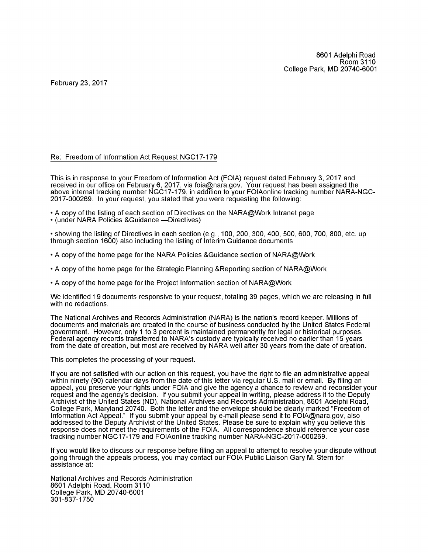February 23, 2017

#### Re: Freedom of Information Act Request NGC17-179

This is in response to your Freedom of Information Act (FOIA) request dated February 3, 2017 and received in our office on February 6, 2017, via foia@nara.gov. Your request has been assigned the above internal tracking number NGC17-179, in addition to your FOIAonline tracking number NARA-NGC-2017-000269. In your request, you stated that you were requesting the following:

- A copy of the listing of each section of Directives on the NARA@Work Intranet page
- (under NARA Policies & Guidance Directives)

• showing the listing of Directives in each section (e.g., 100, 200, 300, 400, 500, 600, 700, 800, etc. up through section 1600) also including the listing of Interim Guidance documents

- A copy of the home page for the NARA Policies &Guidance section of NARA@Work
- A copy of the home page for the Strategic Planning &Reporting section of NARA@Work
- A copy of the home page for the Project Information section of NARA@Work

We identified 19 documents responsive to your request, totaling 39 pages, which we are releasing in full with no redactions.

The National Archives and Records Administration (NARA) is the nation's record keeper. Millions of documents and materials are created in the course of business conducted by the United States Federal government. However, only 1 to 3 percent is maintained permanently for legal or historical purposes. Federal agency records transferred to NARA's custody are typically received no earlier than 15 years from the date of creation, but most are received by NARA well after 30 years from the date of creation.

This completes the processing of your request.

If you are not satisfied with our action on this request, you have the right to file an administrative appeal within ninety (90) calendar days from the date of this letter via regular U.S. mail or email. By filing an appeal, you preserve your rights under FOIA and give the agency a chance to review and reconsider your request and the agency's decision. If you submit your appeal in writing, please address it to the Deputy Archivist of the United States (ND), National Archives and Records Administration, 8601 Adelphi Road, College Park, Maryland 20740. Both the letter and the envelope should be clearly marked "Freedom of Information Act Appeal." If you submit your appeal by e-mail please send it to FOIA@nara.gov, also addressed to the Deputy Archivist of the United States. Please be sure to explain why you believe this response does not meet the requirements of the FOIA. All correspondence should reference your case tracking number NGC17-179 and FOIAonline tracking number NARA-NGC-2017-000269.

If you would like to discuss our response before filing an appeal to attempt to resolve your dispute without going through the appeals process, you may contact our FOIA Public Liaison Gary M. Stern for assistance at:

National Archives and Records Administration 8601 Adelphi Road, Room 3110 College Park, MD 207 40-6001 301-837-1750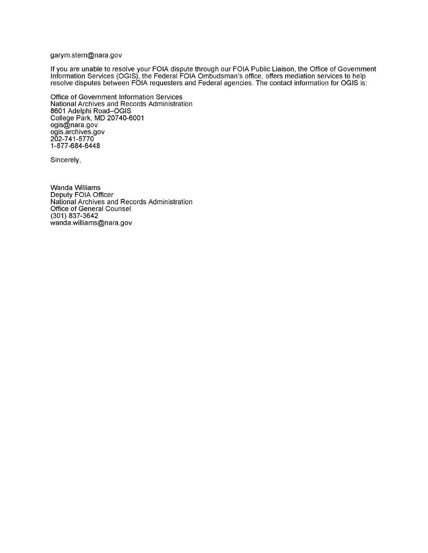#### garym.stern@nara.gov

If you are unable to resolve your FOIA dispute through our FOIA Public Liaison, the Office of Government Information Services (OGIS), the Federal FOIA Ombudsman's office, offers mediation services to help resolve disputes between FOIA requesters and Federal agencies. The contact information for OGIS is:

Office of Government Information Services National Archives and Records Administration 8601 Adelphi Road-OGIS College Park, MD 207 40-6001 ogis@nara.gov ogis.archives.gov 202-7 41-5770 1-877-684-6448

Sincerely,

Wanda Williams Deputy FOIA Officer National Archives and Records Administration Office of General Counsel (301) 837-3642 wanda.williams@nara.gov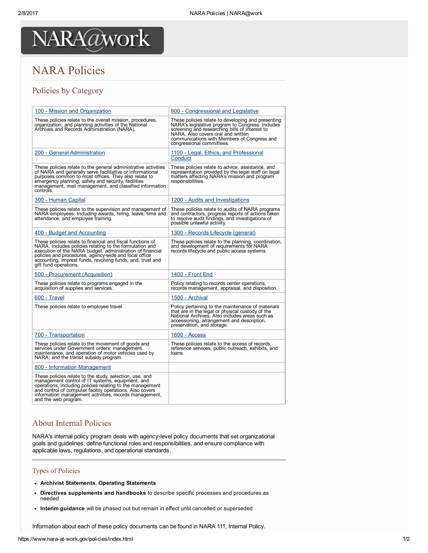## NARA Policies

### Policies by Category

| 100 - Mission and Organization                                                                                                                                                                                                                                                                                                     | 900 - Congressional and Legislative                                                                                                                                                                                                                                        |
|------------------------------------------------------------------------------------------------------------------------------------------------------------------------------------------------------------------------------------------------------------------------------------------------------------------------------------|----------------------------------------------------------------------------------------------------------------------------------------------------------------------------------------------------------------------------------------------------------------------------|
| These policies relate to the overall mission, procedures,<br>organization, and planning activities of the National<br>Archives and Records Administration (NARA).                                                                                                                                                                  | These policies relate to developing and presenting<br>NARA's legislative program to Congress. Includes<br>screening and researching bills of interest to<br>NARA. Also covers oral and written<br>communications with Members of Congress and<br>congressional committees. |
| 200 - General Administration                                                                                                                                                                                                                                                                                                       | 1100 - Legal, Ethics, and Professional<br>Conduct                                                                                                                                                                                                                          |
| These policies relate to the general administrative activities<br>of NARA and generally serve facilitative or informational<br>purposes common to most offices. They also relate to<br>emergency planning, safety and security, facilities<br>management, mail management, and classified information<br>controls.                 | These policies relate to advice, assistance, and<br>representation provided by the legal staff on legal<br>matters affecting NARA's mission and program<br>responsibilities.                                                                                               |
| 300 - Human Capital                                                                                                                                                                                                                                                                                                                | 1200 - Audits and Investigations                                                                                                                                                                                                                                           |
| These policies relate to the supervision and management of<br>NARA employees. Including awards, hiring, leave, time and<br>attendance, and employee training.                                                                                                                                                                      | These policies relate to audits of NARA programs<br>and contractors, progress reports of actions taken<br>to resolve audit findings, and investigations of<br>possible unlawful activity.                                                                                  |
| <u>400 - Budget and Accounting</u>                                                                                                                                                                                                                                                                                                 | <u> 1300 - Records Lifecycle (general)</u>                                                                                                                                                                                                                                 |
| These policies relate to financial and fiscal functions of<br>NARA. Includes policies relating to the formulation and<br>execution of the NARA budget, administration of financial<br>policies and procedures, agency-wide and local office<br>accounting, imprest funds, revolving funds, and, trust and<br>gift fund operations. | These policies relate to the planning, coordination,<br>and development of requirements for NARA<br>records lifecycle and public access systems.                                                                                                                           |
| 500 - Procurement (Acquisition)                                                                                                                                                                                                                                                                                                    | 1400 - Front End                                                                                                                                                                                                                                                           |
| These policies relate to programs engaged in the<br>acquisition of supplies and services.                                                                                                                                                                                                                                          | Policy relating to records center operations,<br>records management, appraisal, and disposition.                                                                                                                                                                           |
| 600 - Travel                                                                                                                                                                                                                                                                                                                       | 1500 - Archival                                                                                                                                                                                                                                                            |
| These policies relate to employee travel.                                                                                                                                                                                                                                                                                          | Policy pertaining to the maintenance of materials<br>that are in the legal or physical custody of the<br>National Archives. Also includes areas such as<br>accessioning, arrangement and description,<br>preservation, and storage.                                        |
| 700 - Transportation                                                                                                                                                                                                                                                                                                               | 1600 - Access                                                                                                                                                                                                                                                              |
| These policies relate to the movement of goods and<br>services under Government orders; management,<br>maintenance, and operation of motor vehicles used by<br>NARA; and the transit subsidy program.                                                                                                                              | These policies relate to the access of records,<br>reference services, public outreach, exhibits, and<br>loans.                                                                                                                                                            |
| 800 - Information Management                                                                                                                                                                                                                                                                                                       |                                                                                                                                                                                                                                                                            |
| These policies relate to the study, selection, use, and<br>management control of IT systems, equipment, and<br>operations, including policies relating to the management<br>and control of computer facility operations. Also covers<br>information management activities, records management,<br>and the web program.             |                                                                                                                                                                                                                                                                            |

#### About Internal Policies

NARA's internal policy program deals with agency-level policy documents that set organizational goals and guidelines, define functional roles and responsibilities, and ensure compliance with applicable laws, regulations, and operational standards.

#### Types of Policies

- Archivist Statements, Operating Statements
- Directives supplements and handbooks to describe specific processes and procedures as  $\bullet$ needed
- Interim guidance will be phased out but remain in effect until cancelled or superseded

Information about each of these policy documents can be found in NARA 111, Internal Policy.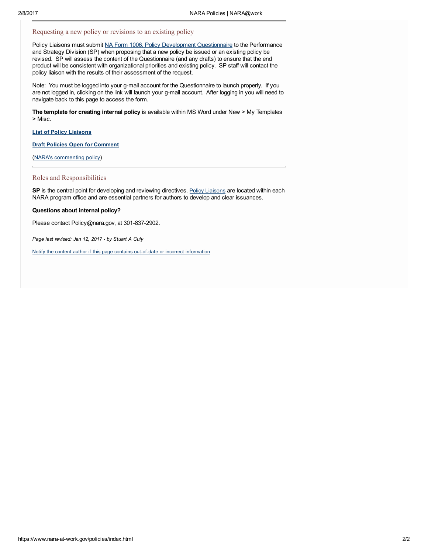#### Requesting a new policy or revisions to an existing policy

Policy Liaisons must submit NA Form 1006, Policy Development [Questionnaire](https://docs.google.com/a/nara.gov/forms/d/1bUDDBZlkEIKP2cCr3-jCTX8NLC3Fkv6aDfUOQ8uWteM/viewform) to the Performance and Strategy Division (SP) when proposing that a new policy be issued or an existing policy be revised. SP will assess the content of the Questionnaire (and any drafts) to ensure that the end product will be consistent with organizational priorities and existing policy. SP staff will contact the policy liaison with the results of their assessment of the request.

Note: You must be logged into your g-mail account for the Questionnaire to launch properly. If you are not logged in, clicking on the link will launch your g-mail account. After logging in you will need to navigate back to this page to access the form.

The template for creating internal policy is available within MS Word under New > My Templates > Misc.

#### List of Policy [Liaisons](https://www.nara-at-work.gov/nara_policies_and_guidance/policy-liaison-list.html)

Draft Policies Open for [Comment](https://www.nara-at-work.gov/nara_policies_and_guidance/comment-draft-policy.html)

(NARA's [commenting](https://www.nara-at-work.gov/nara_policies_and_guidance/comment-policy.html) policy)

#### Roles and Responsibilities

SP is the central point for developing and reviewing directives. Policy [Liaisons](https://www.nara-at-work.gov/nara_policies_and_guidance/policy-liaison-list.html) are located within each NARA program office and are essential partners for authors to develop and clear issuances.

#### Questions about internal policy?

Please contact Policy@nara.gov, at 301-837-2902.

Page last revised: Jan 12, 2017 - by Stuart A Culy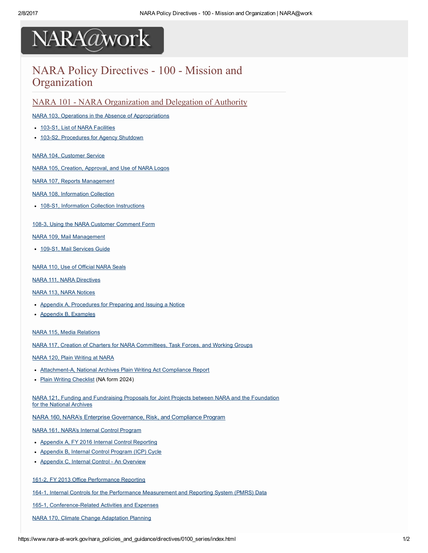### NARA Policy Directives - 100 - Mission and **Organization**

NARA 101 - NARA [Organization](https://update.nara-at-work.gov/nara_policies_and_guidance/directives/0100_series/nara101_toc.html) and Delegation of Authority

#### NARA 103, Operations in the Absence of [Appropriations](https://update.nara-at-work.gov/files/0100_series/nara0103.pdf)

- 103-S1, List of NARA [Facilities](https://update.nara-at-work.gov/files/0100_series/nara0103-s1.pdf)
- 103-S2, [Procedures](https://update.nara-at-work.gov/files/0100_series/nara0103-s2.pdf) for Agency Shutdown

#### NARA 104, [Customer](https://update.nara-at-work.gov/nara_policies_and_guidance/directives/0100_series/nara104.html) Service

NARA 105, Creation, [Approval,](https://update.nara-at-work.gov/files/0100_series/nara0105.pdf) and Use of NARA Logos

#### NARA 107, Reports [Management](https://update.nara-at-work.gov/files/0100_series/nara0107.pdf)

#### NARA 108, [Information](https://update.nara-at-work.gov/files/0100_series/nara0108.pdf) Collection

• 108-S1, Information Collection [Instructions](https://update.nara-at-work.gov/files/0100_series/nara0108-s1.pdf)

#### 108-3, Using the NARA Customer [Comment](https://update.nara-at-work.gov/files/0100_series/nara0108-3.pdf) Form

#### NARA 109, Mail [Management](https://update.nara-at-work.gov/files/0100_series/nara0109.pdf)

• 109-S1, Mail [Services](https://update.nara-at-work.gov/files/0100_series/nara0109-s1.pdf) Guide

#### NARA 110, Use of [Official](https://update.nara-at-work.gov/nara_policies_and_guidance/directives/0100_series/nara110.html) NARA Seals

#### NARA 111, NARA [Directives](https://update.nara-at-work.gov/files/0100_series/nara0111.pdf)

#### NARA 113, NARA [Notices](https://update.nara-at-work.gov/files/0100_series/nara0113.pdf)

- Appendix A, [Procedures](https://update.nara-at-work.gov/files/0100_series/nara0113_appa.pdf) for Preparing and Issuing a Notice
- Appendix B, [Examples](https://update.nara-at-work.gov/files/0100_series/nara113_appb.pdf)

#### NARA 115, Media [Relations](https://update.nara-at-work.gov/files/nara_policies_and_guidance/directives/0100_series/nara0115.pdf)

NARA 117, Creation of Charters for NARA [Committees,](https://update.nara-at-work.gov/files/0100_series/nara0117.pdf) Task Forces, and Working Groups

#### NARA 120, Plain [Writing](https://update.nara-at-work.gov/files/0100_series/nara0120.pdf) at NARA

- Attachment-A, National Archives Plain Writing Act Compliance Report
- Plain Writing [Checklist](https://update.nara-at-work.gov/staff_resources_and_services/forms/files/na-2024.pdf) (NA form 2024)

NARA 121, Funding and [Fundraising](https://update.nara-at-work.gov/files/0100_series/nara0121.pdf) Proposals for Joint Projects between NARA and the Foundation for the National Archives

NARA 160, NARA's Enterprise [Governance,](https://update.nara-at-work.gov/files/0100_series/nara0160.pdf) Risk, and Compliance Program

NARA 161, NARA's Internal Control [Program](https://update.nara-at-work.gov/files/0100_series/nara0161.pdf)

- Appendix A, FY 2016 Internal Control [Reporting](https://update.nara-at-work.gov/files/0100_series/nara0161appa.pdf)
- [Appendix](https://update.nara-at-work.gov/files/0100_series/nara0161appb.pdf) B, Internal Control Program (ICP) Cycle
- [Appendix](https://update.nara-at-work.gov/files/0100_series/nara0161-appc.pdf) C, Internal Control An Overview

#### 161-2, FY 2013 Office [Performance](https://update.nara-at-work.gov/nara_policies_and_guidance/directives/0100_series/161_2.html) Reporting

164-1, Internal Controls for the Performance [Measurement](https://update.nara-at-work.gov/nara_policies_and_guidance/directives/0100_series/164_1.html) and Reporting System (PMRS) Data

165-1, Conference-Related Activities and Expenses

NARA 170, Climate Change [Adaptation](https://update.nara-at-work.gov/files/0100_series/nara0170.pdf) Planning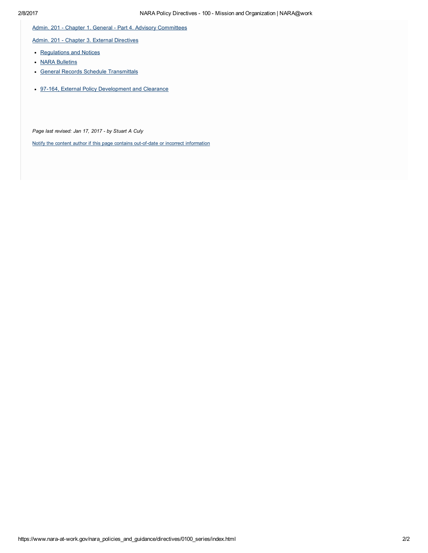Admin. 201 - Chapter 1. General - Part 4. Advisory [Committees](https://update.nara-at-work.gov/nara_policies_and_guidance/directives/0100_series/201_ch1pt4.html)

Admin. 201 - Chapter 3. External [Directives](https://update.nara-at-work.gov/nara_policies_and_guidance/directives/0200_series/201_ch3.html)

- [Regulations](https://update.nara-at-work.gov/nara_policies_and_guidance/directives/0200_series/201_ch3.html#pt1) and Notices
- **NARA [Bulletins](https://update.nara-at-work.gov/nara_policies_and_guidance/directives/0200_series/201_ch3.html#pt2)**
- General Records Schedule [Transmittals](https://update.nara-at-work.gov/nara_policies_and_guidance/directives/0200_series/201_ch3.html#pt3)
- 97-164, External Policy [Development](https://www.nara-at-work.gov/nara_policies_and_guidance/notices/fy1997/97_164.html) and Clearance

Page last revised: Jan 17, 2017 - by Stuart A Culy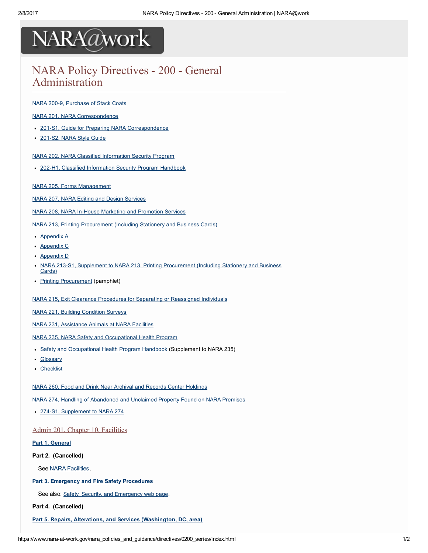## NARA Policy Directives - 200 - General Administration

#### NARA 200-9, [Purchase](https://update.nara-at-work.gov/nara_policies_and_guidance/directives/0200_series/200_9.html) of Stack Coats

NARA 201, NARA [Correspondence](https://update.nara-at-work.gov/files/0200_series/nara0201.pdf)

- 201-S1, Guide for Preparing NARA [Correspondence](https://update.nara-at-work.gov/files/0200_series/nara0201-s1.pdf)
- 201-S2, NARA Style Guide

NARA 202, NARA Classified [Information](https://update.nara-at-work.gov/files/0200_series/nara0202.pdf) Security Program

• 202-H1, Classified [Information](https://update.nara-at-work.gov/files/0200_series/nara0202-h1.pdf) Security Program Handbook

NARA 205, Forms [Management](https://update.nara-at-work.gov/files/0200_series/nara0205.pdf)

NARA 207, NARA Editing and Design [Services](https://update.nara-at-work.gov/files/0200_series/nara0207.pdf)

NARA 208, NARA In-House Marketing and [Promotion](https://update.nara-at-work.gov/files/0200_series/nara0208.pdf) Services

NARA 213, Printing [Procurement](https://update.nara-at-work.gov/files/0200_series/nara213.pdf) (Including Stationery and Business Cards)

- [Appendix](https://update.nara-at-work.gov/files/0200_series/nara213-appa.pdf) A
- [Appendix](https://update.nara-at-work.gov/files/0200_series/nara213-appc.pdf) C
- [Appendix](https://update.nara-at-work.gov/files/0200_series/nara213-appd.pdf) D
- NARA 213-S1, Supplement to NARA 213, Printing [Procurement](https://update.nara-at-work.gov/files/0200_series/nara213-s1.pdf) (Including Stationery and Business Cards)
- Printing [Procurement](https://update.nara-at-work.gov/files/0200_series/nara213-pamphlet.pdf) (pamphlet)

NARA 215, Exit Clearance Procedures for Separating or [Reassigned](https://update.nara-at-work.gov/nara_policies_and_guidance/directives/0200_series/nara215.html) Individuals

NARA 221, Building [Condition](https://update.nara-at-work.gov/files/0200_series/nara0221.pdf) Surveys

NARA 231, [Assistance](https://update.nara-at-work.gov/files/0200_series/nara0231.pdf) Animals at NARA Facilities

NARA 235, NARA Safety and [Occupational](https://update.nara-at-work.gov/files/0200_series/nara0235.pdf) Health Program

- Safety and [Occupational](https://update.nara-at-work.gov/nara_policies_and_guidance/directives/0200_series/word/nara235_supp.docx) Health Program Handbook (Supplement to NARA 235)
- [Glossary](https://update.nara-at-work.gov/nara_policies_and_guidance/directives/0200_series/word/nara_235_supp_appendixa_glossary.doc)
- [Checklist](https://update.nara-at-work.gov/nara_policies_and_guidance/directives/0200_series/word/nara_235_supp_appendixb_checklist.doc)

NARA 260, Food and Drink Near Archival and Records Center [Holdings](https://update.nara-at-work.gov/files/0200_series/nara0260.pdf)

NARA 274, Handling of [Abandoned](https://update.nara-at-work.gov/files/0200_series/nara0274.pdf) and Unclaimed Property Found on NARA Premises

• 274-S1, [Supplement](https://update.nara-at-work.gov/files/0200_series/nara0274-s1.pdf) to NARA 274

Admin 201, [Chapter](https://www.nara-at-work.gov/nara_policies_and_guidance/directives/0200_series/201_ch10.html) 10, [Facilities](https://www.nara-at-work.gov/nara_policies_and_guidance/directives/0200_series/201_ch10.html)

#### Part 1. [General](https://update.nara-at-work.gov/nara_policies_and_guidance/directives/0200_series/201_ch10.html#201ch10_pt1)

#### Part 2. (Cancelled)

See NARA [Facilities](http://www.archives.gov/locations/).

#### Part 3. Emergency and Fire Safety [Procedures](https://update.nara-at-work.gov/nara_policies_and_guidance/directives/0200_series/201_ch10.html#201ch10_pt3)

See also: Safety, Security, and [Emergency](https://update.nara-at-work.gov/safety_security_and_emergency/index.html) web page.

Part 4. (Cancelled)

Part 5. Repairs, Alterations, and Services [\(Washington,](https://update.nara-at-work.gov/nara_policies_and_guidance/directives/0200_series/201_ch10.html#201ch10_pt5) DC, area)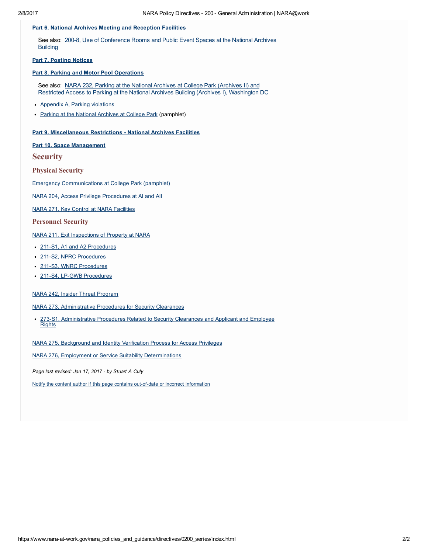#### Part 6. National Archives Meeting and [Reception](https://update.nara-at-work.gov/nara_policies_and_guidance/directives/0200_series/201_ch10.html#201ch10_pt6) Facilities

See also: 200-8, Use of [Conference](https://update.nara-at-work.gov/nara_policies_and_guidance/directives/0200_series/200_8.html) Rooms and Public Event Spaces at the National Archives **Building** 

Part 7. [Posting](https://update.nara-at-work.gov/nara_policies_and_guidance/directives/0200_series/201_ch10.html#201ch10_pt7) Notices

#### Part 8. Parking and Motor Pool [Operations](https://update.nara-at-work.gov/nara_policies_and_guidance/directives/0200_series/201_ch10.html#201ch10_pt8)

See also: NARA 232, Parking at the National Archives at College Park (Archives II) and Restricted Access to Parking at the National Archives Building (Archives I), [Washington](https://update.nara-at-work.gov/files/0200_series/nara0232.pdf) DC

- Appendix A, Parking [violations](https://update.nara-at-work.gov/files/0200_series/nara0232-appendix-a.pdf)
- Parking at the National [Archives](https://update.nara-at-work.gov/files/0200_series/nara0232-pamphlet-a.pdf) at College Park (pamphlet)

#### Part 9. [Miscellaneous](https://update.nara-at-work.gov/nara_policies_and_guidance/directives/0200_series/201_ch10.html#201ch10_pt9) Restrictions - National Archives Facilities

#### Part 10. Space [Management](https://update.nara-at-work.gov/nara_policies_and_guidance/directives/0200_series/201_ch10.html#201ch10_pt10)

**Security** 

Physical Security

Emergency [Communications](https://update.nara-at-work.gov/files/0200_series/issuances-cancellation.pdf) at College Park (pamphlet)

NARA 204, Access Privilege [Procedures](https://update.nara-at-work.gov/files/0200_series/nara0204.pdf) at AI and AII

NARA 271, Key Control at NARA [Facilities](https://update.nara-at-work.gov/files/0200_series/nara0271_1.pdf)

#### Personnel Security

NARA 211, Exit [Inspections](https://update.nara-at-work.gov/files/0200_series/nara0211_1.pdf) of Property at NARA

- 211-S1, A1 and A2 [Procedures](https://update.nara-at-work.gov/files/0200_series/nara-211-s1-a1-and-a2-procedures.pdf)
- 211-S2, NPRC [Procedures](https://update.nara-at-work.gov/files/0200_series/nara-211-s2-nprc-procedures.pdf)
- 211-S3, WNRC [Procedures](https://update.nara-at-work.gov/files/0200_series/nara-211-s3-wnrc-procedures.pdf)
- 211-S4, LP-GWB [Procedures](https://update.nara-at-work.gov/files/0200_series/nara-211-s4-lp-gwb.pdf)

#### NARA 242, Insider Threat [Program](https://update.nara-at-work.gov/files/0200_series/nara0242.pdf)

NARA 273, [Administrative](https://update.nara-at-work.gov/files/0200_series/nara0273.pdf) Procedures for Security Clearances

273S1, [Administrative](https://update.nara-at-work.gov/files/0200_series/nara0273-s1.pdf) Procedures Related to Security Clearances and Applicant and Employee **Rights** 

NARA 275, [Background](https://update.nara-at-work.gov/files/0200_series/nara0275.pdf) and Identity Verification Process for Access Privileges

NARA 276, Employment or Service Suitability [Determinations](https://update.nara-at-work.gov/files/0200_series/nara0276.pdf)

Page last revised: Jan 17, 2017 - by Stuart A Culy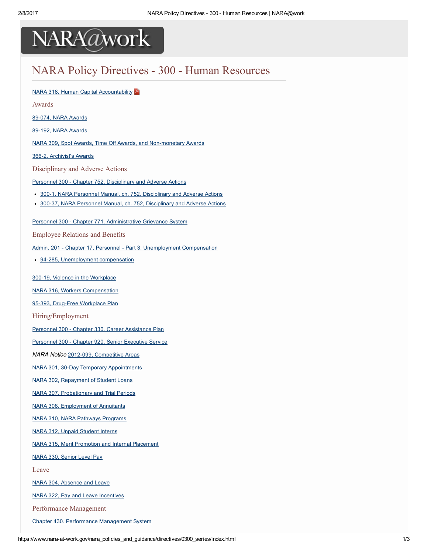

### NARA Policy Directives - 300 - Human Resources

NARA 318, Human Capital [Accountability](https://www.nara-at-work.gov/files/0300_series/nara0318.pdf)

Awards

89-074, NARA Awards

89-192, NARA Awards

NARA 309, Spot Awards, Time Off Awards, and Non-monetary Awards

366-2, [Archivist's](https://www.nara-at-work.gov/nara_policies_and_guidance/directives/0300_series/366_2.html) Awards

Disciplinary and Adverse Actions

Personnel 300 - Chapter 752. [Disciplinary](https://www.nara-at-work.gov/nara_policies_and_guidance/directives/0300_series/300_752.html) and Adverse Actions

- 300-1, NARA Personnel Manual, ch. 752, [Disciplinary](https://www.nara-at-work.gov/nara_policies_and_guidance/directives/0300_series/300_1.html) and Adverse Actions
- 300-37, NARA Personnel Manual, ch. 752, [Disciplinary](https://www.nara-at-work.gov/nara_policies_and_guidance/directives/0300_series/300_37.html) and Adverse Actions

Personnel 300 - Chapter 771. [Administrative](https://www.nara-at-work.gov/nara_policies_and_guidance/directives/0300_series/300_ch771.html) Grievance System

Employee Relations and Benefits

Admin. 201 - Chapter 17. Personnel - Part 3. [Unemployment](https://www.nara-at-work.gov/nara_policies_and_guidance/directives/0300_series/201_ch17pt3.html) Compensation

• 94-285, [Unemployment](https://www.nara-at-work.gov/nara_policies_and_guidance/directives/0300_series/94_285.html) compensation

300-19, Violence in the [Workplace](https://www.nara-at-work.gov/nara_policies_and_guidance/directives/0300_series/300_19.html)

NARA 316, Workers [Compensation](https://www.nara-at-work.gov/files/0300_series/nara0316.pdf)

95-393, Drug-Free [Workplace](https://www.nara-at-work.gov/files/0300_series/95-393.pdf) Plan

Hiring/Employment

Personnel 300 - Chapter 330. Career [Assistance](https://www.nara-at-work.gov/nara_policies_and_guidance/directives/0300_series/300_ch330.html) Plan

[Personnel](https://www.nara-at-work.gov/nara_policies_and_guidance/directives/0300_series/300_ch920.html) 300 - Chapter 920. Senior Executive Service

NARA Notice 2012-099, [Competitive](https://www.nara-at-work.gov/nara_policies_and_guidance/notices/notice.html?fy=2012&id=099) Areas

NARA 301, 30-Day Temporary [Appointments](https://www.nara-at-work.gov/files/0300_series/nara0301.pdf)

NARA 302, [Repayment](https://www.nara-at-work.gov/files/0300_series/nara0302.pdf) of Student Loans

NARA 307, [Probationary](https://www.nara-at-work.gov/files/0300_series/nara0307.pdf) and Trial Periods

NARA 308, [Employment](https://www.nara-at-work.gov/files/0300_series/nara0308.pdf) of Annuitants

NARA 310, NARA Pathways [Programs](https://www.nara-at-work.gov/files/0300_series/nara0310.pdf)

NARA 312, Unpaid [Student](https://www.nara-at-work.gov/nara_policies_and_guidance/directives/0300_series/nara312.html) Interns

NARA 315, Merit Promotion and Internal [Placement](https://www.nara-at-work.gov/nara_policies_and_guidance/directives/0300_series/nara315.html)

NARA 330, [Senior](https://www.nara-at-work.gov/files/0300_series/nara0330.pdf) Level Pay

Leave

NARA 304, [Absence](https://www.nara-at-work.gov/files/0300_series/nara0304.pdf) and Leave

NARA 322, Pay and Leave [Incentives](https://www.nara-at-work.gov/files/0300_series/nara0322.pdf)

Performance Management

Chapter 430. Performance [Management](https://www.nara-at-work.gov/nara_policies_and_guidance/directives/0300_series/300_ch430.html) System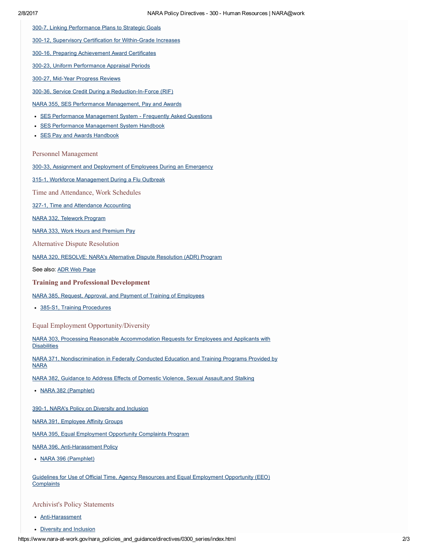300-7, Linking [Performance](https://www.nara-at-work.gov/nara_policies_and_guidance/directives/0300_series/300_7.html) Plans to Strategic Goals

300-12, Supervisory Certification for Within-Grade Increases

300-16, Preparing [Achievement](https://www.nara-at-work.gov/nara_policies_and_guidance/directives/0300_series/300_16.html) Award Certificates

300-23, Uniform [Performance](https://www.nara-at-work.gov/nara_policies_and_guidance/directives/0300_series/300_23.html) Appraisal Periods

300-27, Mid-Year [Progress](https://www.nara-at-work.gov/nara_policies_and_guidance/directives/0300_series/300_27.html) Reviews

300-36, Service Credit During a Reduction-In-Force (RIF)

NARA 355, SES Performance [Management,](https://www.nara-at-work.gov/files/0300_series/nara0355.pdf) Pay and Awards

- **SES Performance [Management](https://www.nara-at-work.gov/files/0300_series/nara0355-faq.pdf) System Frequently Asked Questions**
- **SES Performance [Management](https://www.nara-at-work.gov/files/0300_series/nara0355-h1.pdf) System Handbook**
- SES Pay and Awards [Handbook](https://www.nara-at-work.gov/files/0300_series/nara0355-s2.pdf)

Personnel Management

300-33, Assignment and [Deployment](https://www.nara-at-work.gov/nara_policies_and_guidance/directives/0300_series/300_33.html) of Employees During an Emergency

315-1, Workforce [Management](https://www.nara-at-work.gov/nara_policies_and_guidance/directives/0300_series/315_1.html) During a Flu Outbreak

Time and Attendance, Work Schedules

327-1, Time and [Attendance](https://www.nara-at-work.gov/nara_policies_and_guidance/directives/0300_series/327_1.html) Accounting

NARA 332, [Telework](https://www.nara-at-work.gov/nara_policies_and_guidance/directives/0300_series/nara332.html) Program

NARA 333, Work Hours and [Premium](https://www.nara-at-work.gov/files/0300_series/nara0333.pdf) Pay

Alternative Dispute Resolution

NARA 320, [RESOLVE:](https://www.nara-at-work.gov/files/0300_series/nara0320.pdf) NARA's Alternative Dispute Resolution (ADR) Program

See also: ADR Web [Page](https://www.nara-at-work.gov/staff_resources_and_services/employee_resources/adrmain.html)

Training and Professional Development

NARA 385, Request, Approval, and Payment of Training of [Employees](https://www.nara-at-work.gov/files/0300_series/nara0385.pdf)

• 385-S1, Training [Procedures](https://www.nara-at-work.gov/files/0300_series/nara0385-s1.pdf)

Equal Employment Opportunity/Diversity

NARA 303, Processing Reasonable [Accommodation](https://www.nara-at-work.gov/files/0300_series/nara0303.pdf) Requests for Employees and Applicants with **Disabilities** 

NARA 371, [Nondiscrimination](https://www.nara-at-work.gov/files/0300_series/nara0371.pdf) in Federally Conducted Education and Training Programs Provided by **NARA** 

NARA 382, Guidance to Address Effects of Domestic Violence, Sexual [Assault,and](https://www.nara-at-work.gov/files/0300_series/nara0382.pdf) Stalking

NARA 382 [\(Pamphlet\)](https://www.nara-at-work.gov/files/0300_series/nara0382-pamphlet.pdf)

390-1, NARA's Policy on Diversity and [Inclusion](https://www.nara-at-work.gov/nara_policies_and_guidance/directives/0300_series/390_1.html)

NARA 391, [Employee](https://www.nara-at-work.gov/files/0300_series/nara0391.pdf) Affinity Groups

NARA 395, Equal [Employment](https://www.nara-at-work.gov/files/0300_series/nara0395.pdf) Opportunity Complaints Program

NARA 396, Anti-Harassment Policy

NARA 396 [\(Pamphlet\)](https://www.nara-at-work.gov/files/0300_series/nara0396-pamphlet-a.pdf)

Guidelines for Use of Official Time, Agency Resources and Equal [Employment](https://www.nara-at-work.gov/files/equal-employment-opportunity/use-of-resources-eeo.pdf) Opportunity (EEO) **Complaints** 

Archivist's Policy Statements

- Anti-Harassment
- Diversity and [Inclusion](https://www.nara-at-work.gov/files/0300_series/nara0390-01-statement.pdf)

https://www.nara-at-work.gov/nara\_policies\_and\_guidance/directives/0300\_series/index.html 2/3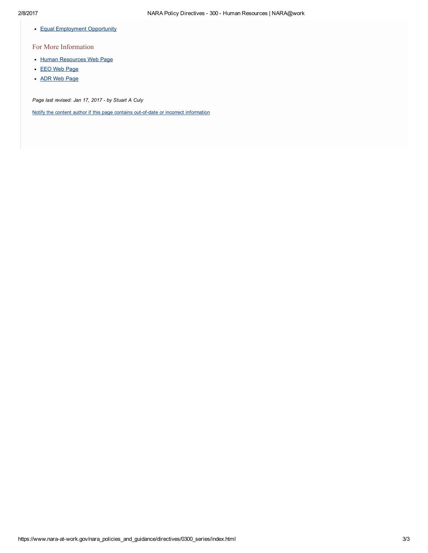• Equal [Employment](https://www.nara-at-work.gov/files/0300_series/nara-eeostmnt_2016.pdf) Opportunity

#### For More Information

- Human [Resources](https://www.nara-at-work.gov/staff_resources_and_services/index.html) Web Page
- EEO Web [Page](http://www.archives.gov/eeo/)
- ADR Web [Page](https://www.nara-at-work.gov/staff_resources_and_services/employee_resources/adrmain.html)

Page last revised: Jan 17, 2017 - by Stuart A Culy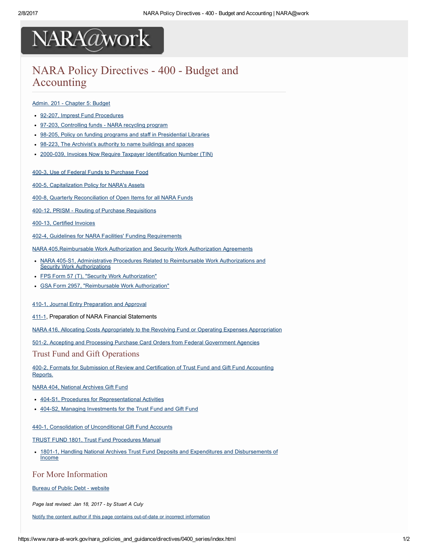### NARA Policy Directives - 400 - Budget and Accounting

#### Admin. 201 - [Chapter](https://www.nara-at-work.gov/nara_policies_and_guidance/directives/0400_series/201_ch05.html) 5: Budget

- 92-207, Imprest Fund [Procedures](https://www.nara-at-work.gov/nara_policies_and_guidance/directives/0400_series/92_207.html)
- 97-203, [Controlling](https://www.nara-at-work.gov/nara_policies_and_guidance/notices/fy1997/97_203.html) funds NARA recycling program
- 98-205, Policy on funding programs and staff in [Presidential](https://www.nara-at-work.gov/nara_policies_and_guidance/notices/fy1998/98_205.html) Libraries
- 98-223, The [Archivist's](https://www.nara-at-work.gov/files/0400_series/98-223.pdf) authority to name buildings and spaces
- 2000-039, Invoices Now Require Taxpayer [Identification](https://www.nara-at-work.gov/nara_policies_and_guidance/notices/fy2000/2000_039.html) Number (TIN)

#### 400-3, Use of Federal Funds to [Purchase](https://www.nara-at-work.gov/nara_policies_and_guidance/directives/0400_series/400_3.html) Food

400-5, [Capitalization](https://www.nara-at-work.gov/nara_policies_and_guidance/directives/0400_series/400_5.html) Policy for NARA's Assets

400-8, Quarterly [Reconciliation](https://www.nara-at-work.gov/nara_policies_and_guidance/directives/0400_series/400_8.html) of Open Items for all NARA Funds

400-12, PRISM - Routing of Purchase [Requisitions](https://www.nara-at-work.gov/nara_policies_and_guidance/directives/0400_series/400_12.html)

400-13, [Certified](https://www.nara-at-work.gov/nara_policies_and_guidance/directives/0400_series/400_13.html) Invoices

4024, Guidelines for NARA Facilities' Funding [Requirements](https://www.nara-at-work.gov/nara_policies_and_guidance/directives/0400_series/402_4.html)

NARA [405,Reimbursable](https://www.nara-at-work.gov/files/0400_series/nara0405_0.pdf) Work Authorization and Security Work Authorization Agreements

- NARA 405-S1, Administrative Procedures Related to Reimbursable Work [Authorizations](https://www.nara-at-work.gov/files/0400_series/nara0405-s1_0.pdf) and **Security Work Authorizations**
- FPS Form 57 (T), "Security Work [Authorization"](https://www.nara-at-work.gov/files/0400_series/swa-form-fps-57t-fy2017.pdf)
- GSA Form 2957, ["Reimbursable](http://www.gsa.gov/portal/mediaId/218359/fileName/RWA_Form_2957_02_2011.action) Work Authorization"

410-1, Journal Entry [Preparation](https://www.nara-at-work.gov/nara_policies_and_guidance/directives/0400_series/410_1.html) and Approval

#### 411-1, Preparation of NARA Financial Statements

NARA 416, Allocating Costs Appropriately to the Revolving Fund or Operating Expenses [Appropriation](https://www.nara-at-work.gov/files/0400_series/nara0416.pdf)

5012, Accepting and Processing Purchase Card Orders from Federal [Government](https://www.nara-at-work.gov/nara_policies_and_guidance/directives/0500_series/501_2.html) Agencies

#### Trust Fund and Gift Operations

400-2, Formats for Submission of Review and [Certification](https://www.nara-at-work.gov/nara_policies_and_guidance/directives/0400_series/400_2.html) of Trust Fund and Gift Fund Accounting **Reports** 

NARA 404, National [Archives](https://www.nara-at-work.gov/nara_policies_and_guidance/directives/0400_series/nara404.html) Gift Fund

- 404-S1, Procedures for [Representational](https://www.nara-at-work.gov/nara_policies_and_guidance/directives/0400_series/nara404_suppl.html) Activities
- 404-S2, Managing [Investments](https://www.nara-at-work.gov/nara_policies_and_guidance/directives/0400_series/nara404_suppl_b.html) for the Trust Fund and Gift Fund

#### 440-1, Consolidation of [Unconditional](https://www.nara-at-work.gov/nara_policies_and_guidance/directives/0400_series/440-1.html) Gift Fund Accounts

TRUST FUND 1801, Trust Fund [Procedures](https://www.nara-at-work.gov/nara_policies_and_guidance/directives/0400_series/1801_c18.pdf) Manual

1801-1, Handling National Archives Trust Fund Deposits and Expenditures and [Disbursements](https://www.nara-at-work.gov/nara_policies_and_guidance/directives/0400_series/1801_1.html) of Income

#### For More Information

Bureau of Public Debt - [website](https://www.nara-at-work.gov/global-pages/exit.html?link=https://arc.publicdebt.treas.gov/fs/fsnara1.htm)

Page last revised: Jan 18, 2017 - by Stuart A Culy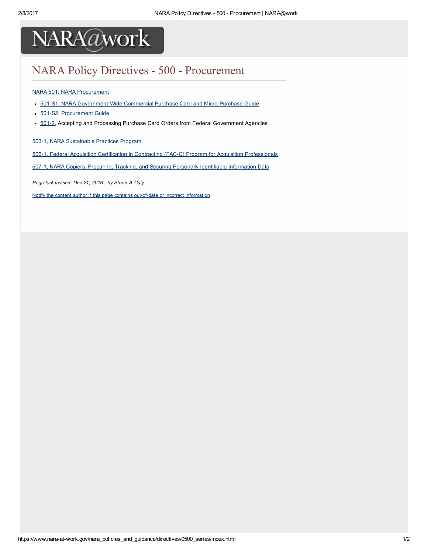

## NARA Policy Directives - 500 - Procurement

#### NARA 501, NARA [Procurement](https://www.nara-at-work.gov/files/0500_series/nara0501.pdf)

- 501-S1, NARA Government-Wide Commercial Purchase Card and Micro-Purchase Guide.
- 501-S2, [Procurement](https://www.nara-at-work.gov/procurement_budget_and_finance/acquisitions/guide/index.html) Guide
- 501-2, Accepting and Processing Purchase Card Orders from Federal Government Agencies

503-1, NARA [Sustainable](https://www.nara-at-work.gov/nara_policies_and_guidance/directives/0500_series/503_1.html) Practices Program

506-1, Federal Acquisition Certification in Contracting (FAC-C) Program for Acquisition [Professionals](https://www.nara-at-work.gov/nara_policies_and_guidance/directives/0500_series/506_1.html)

507-1, NARA Copiers, Procuring, Tracking, and Securing Personally Identifiable [Information](https://www.nara-at-work.gov/nara_policies_and_guidance/directives/0500_series/507_1.html) Data

Page last revised: Dec 21, 2016 - by Stuart A Culy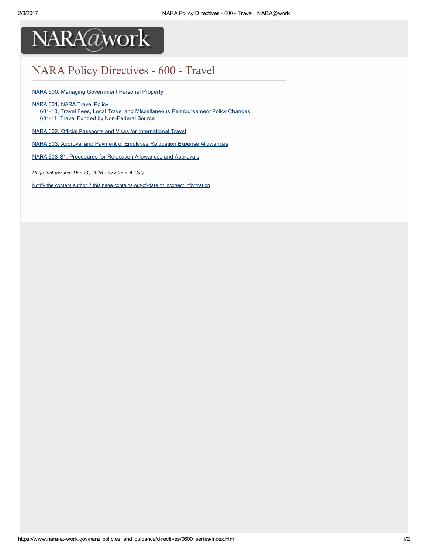

## NARA Policy Directives - 600 - Travel

NARA 600, Managing [Government](https://www.nara-at-work.gov/nara_policies_and_guidance/directives/0600_series/nara600.html) Personal Property

NARA 601, NARA [Travel](https://www.nara-at-work.gov/nara_policies_and_guidance/directives/0600_series/nara601.html) Policy

- 601-10, Travel Fees, Local Travel and Miscellaneous [Reimbursement](https://www.nara-at-work.gov/nara_policies_and_guidance/directives/0600_series/601_10.html) Policy Changes
- 601-11, Travel Funded by Non-Federal Source

NARA 602, Official Passports and Visas for [International](https://www.nara-at-work.gov/files/0600_series/nara0602.pdf) Travel

NARA 603, Approval and Payment of Employee Relocation Expense [Allowances](https://www.nara-at-work.gov/files/0600_series/nara0603.pdf)

NARA 603-S1, [Procedures](https://www.nara-at-work.gov/files/0600_series/nara0603-s1.pdf) for Relocation Allowances and Approvals

Page last revised: Dec 21, 2016 - by Stuart A Culy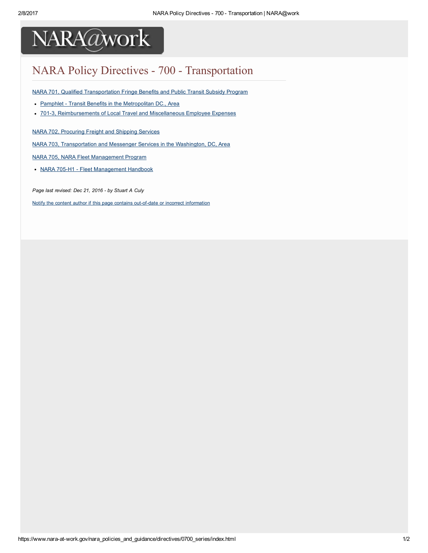

## NARA Policy Directives - 700 - Transportation

NARA 701, Qualified [Transportation](https://www.nara-at-work.gov/files/0700_series/nara0701.pdf) Fringe Benefits and Public Transit Subsidy Program

- Pamphlet Transit Benefits in the [Metropolitan](https://www.nara-at-work.gov/files/0700_series/nara0701-pamphlet.pdf) DC., Area
- 701-3, [Reimbursements](https://www.nara-at-work.gov/nara_policies_and_guidance/directives/0700_series/701_3.html) of Local Travel and Miscellaneous Employee Expenses

NARA 702, [Procuring](https://www.nara-at-work.gov/files/0700_series/nara0702.pdf) Freight and Shipping Services

NARA 703, [Transportation](https://www.nara-at-work.gov/files/0700_series/nara0703.pdf) and Messenger Services in the Washington, DC, Area

NARA 705, NARA Fleet [Management](https://www.nara-at-work.gov/files/nara_policies_and_guidance/directives/0700_series/nara705.pdf) Program

• NARA 705-H1 - Fleet [Management](https://www.nara-at-work.gov/files/nara_policies_and_guidance/directives/0700_series/nara705-h1.pdf) Handbook

Page last revised: Dec 21, 2016 - by Stuart A Culy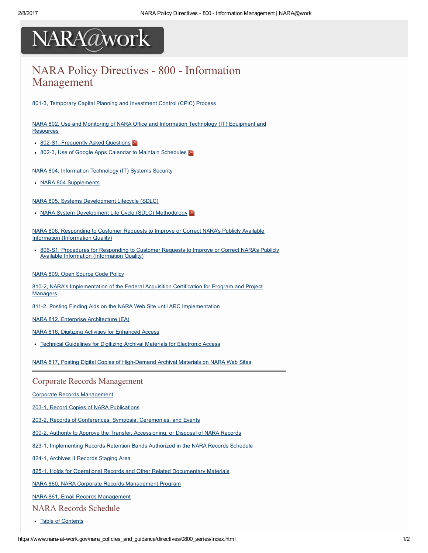### NARA Policy Directives - 800 - Information Management

801-3, Temporary Capital Planning and [Investment](https://www.nara-at-work.gov/files/0800_series/nara0801-3.pdf) Control (CPIC) Process

NARA 802, Use and Monitoring of NARA Office and Information [Technology](https://www.nara-at-work.gov/files/0800_series/nara0802.pdf) (IT) Equipment and **Resources** 

- 802-S1, [Frequently](https://www.nara-at-work.gov/files/0800_series/nara0802-s1.pdf) Asked Questions
- 802-3, Use of Google Apps Calendar to Maintain [Schedules](https://www.nara-at-work.gov/files/0800_series/nara0802-3.pdf)

NARA 804, Information [Technology](https://www.nara-at-work.gov/nara_policies_and_guidance/directives/0800_series/nara804.html) (IT) Systems Security

• NARA 804 [Supplements](https://www.nara-at-work.gov/nara_policies_and_guidance/directives/0800_series/nara804.html#804supps)

NARA 805, Systems [Development](https://www.nara-at-work.gov/files/0800_series/nara0805.pdf) Lifecycle (SDLC)

• NARA System [Development](https://www.nara-at-work.gov/files/0800_series/nara0805-h1.pdf) Life Cycle (SDLC) Methodology

NARA 806, Responding to Customer Requests to Improve or Correct NARA's Publicly Available Information [\(Information](https://www.nara-at-work.gov/files/0800_series/nara0806.pdf) Quality)

806-S1, Procedures for Responding to Customer Requests to Improve or Correct NARA's Publicly Available Information [\(Information](https://www.nara-at-work.gov/files/0800_series/nara0806-s1.pdf) Quality)

#### NARA 809, Open [Source](https://www.nara-at-work.gov/files/0800_series/nara0809.pdf) Code Policy

8102, NARA's [Implementation](https://www.nara-at-work.gov/nara_policies_and_guidance/directives/0800_series/810_2.html) of the Federal Acquisition Certification for Program and Project Managers

811-2, Posting Finding Aids on the NARA Web Site until ARC [Implementation](https://www.nara-at-work.gov/nara_policies_and_guidance/directives/0800_series/811_2.html)

NARA 812, Enterprise [Architecture](https://www.nara-at-work.gov/nara_policies_and_guidance/directives/0800_series/nara812.html) (EA)

- NARA 816, Digitizing Activities for [Enhanced](https://www.nara-at-work.gov/files/0800_series/nara0816.pdf) Access
- Technical [Guidelines](https://www.nara-at-work.gov/files/0800_series/nara816_tech_guide.pdf) for Digitizing Archival Materials for Electronic Access

NARA 817, Posting Digital Copies of High-Demand Archival Materials on NARA Web Sites

#### Corporate Records Management

Corporate Records [Management](https://www.nara-at-work.gov/chief-operating-officer/corporate-records-mgmt/index.html.html)

203-1, Record Copies of NARA [Publications](https://www.nara-at-work.gov/nara_policies_and_guidance/directives/0800_series/203_1.html)

203-2, Records of [Conferences,](https://www.nara-at-work.gov/nara_policies_and_guidance/directives/0800_series/203_2.html) Symposia, Ceremonies, and Events

800-2, Authority to Approve the Transfer, [Accessioning,](https://www.nara-at-work.gov/nara_policies_and_guidance/directives/0800_series/800_2.html) or Disposal of NARA Records

823-1, [Implementing](https://www.nara-at-work.gov/nara_policies_and_guidance/directives/0800_series/823_1.html) Records Retention Bands Authorized in the NARA Records Schedule

824-1, [Archives](https://www.nara-at-work.gov/nara_policies_and_guidance/directives/0800_series/824_1.html) II Records Staging Area

825-1, Holds for Operational Records and Other Related [Documentary](https://www.nara-at-work.gov/nara_policies_and_guidance/directives/0800_series/825_1.html) Materials

NARA 860, NARA Corporate Records [Management](https://www.nara-at-work.gov/files/0800_series/nara0860.pdf) Program

NARA 861, Email Records [Management](https://www.nara-at-work.gov/files/0800_series/nara0861.pdf)

NARA Records Schedule

Table of [Contents](https://www.nara-at-work.gov/nara_policies_and_guidance/directives/0800_series/203-records-schedule/index.html)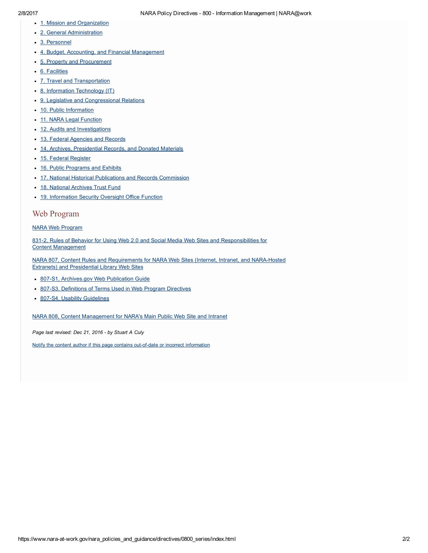- 1. Mission and [Organization](https://www.nara-at-work.gov/nara_policies_and_guidance/directives/0800_series/203-records-schedule/203_ch01.html)
- 2. General [Administration](https://www.nara-at-work.gov/nara_policies_and_guidance/directives/0800_series/203-records-schedule/203_ch02.html)
- 3. [Personnel](https://www.nara-at-work.gov/nara_policies_and_guidance/directives/0800_series/203-records-schedule/203_ch03.html)
- 4. Budget, Accounting, and Financial [Management](https://www.nara-at-work.gov/nara_policies_and_guidance/directives/0800_series/203-records-schedule/203_ch04.html)
- 5. Property and [Procurement](https://www.nara-at-work.gov/nara_policies_and_guidance/directives/0800_series/203-records-schedule/203_ch05.html)
- 6. [Facilities](https://www.nara-at-work.gov/nara_policies_and_guidance/directives/0800_series/203-records-schedule/203_ch06.html)
- 7. Travel and [Transportation](https://www.nara-at-work.gov/nara_policies_and_guidance/directives/0800_series/203-records-schedule/203_ch07.html)
- 8. Information [Technology](https://www.nara-at-work.gov/nara_policies_and_guidance/directives/0800_series/203-records-schedule/203_ch08.html) (IT)
- 9. Legislative and [Congressional](https://www.nara-at-work.gov/nara_policies_and_guidance/directives/0800_series/203-records-schedule/203_ch09.html) Relations
- 10. Public [Information](https://www.nara-at-work.gov/nara_policies_and_guidance/directives/0800_series/203-records-schedule/203_ch10.html)
- 11. NARA Legal [Function](https://www.nara-at-work.gov/nara_policies_and_guidance/directives/0800_series/203-records-schedule/203_ch11.html)
- 12. Audits and [Investigations](https://www.nara-at-work.gov/nara_policies_and_guidance/directives/0800_series/203-records-schedule/203_ch12.html)
- 13. Federal [Agencies](https://www.nara-at-work.gov/nara_policies_and_guidance/directives/0800_series/203-records-schedule/203_ch13.html) and Records
- 14. Archives, [Presidential](https://www.nara-at-work.gov/nara_policies_and_guidance/directives/0800_series/203-records-schedule/203_ch14.html) Records, and Donated Materials
- 15. Federal [Register](https://www.nara-at-work.gov/nara_policies_and_guidance/directives/0800_series/203-records-schedule/203_ch15.html)
- 16. Public [Programs](https://www.nara-at-work.gov/nara_policies_and_guidance/directives/0800_series/203-records-schedule/203_ch16.html) and Exhibits
- 17. National Historical Publications and Records [Commission](https://www.nara-at-work.gov/nara_policies_and_guidance/directives/0800_series/203-records-schedule/203_ch17.html)
- 18. National [Archives](https://www.nara-at-work.gov/nara_policies_and_guidance/directives/0800_series/203-records-schedule/203_ch18.html) Trust Fund
- 19. [Information](https://www.nara-at-work.gov/nara_policies_and_guidance/directives/0800_series/203-records-schedule/203_ch19.html) Security Oversight Office Function

#### Web Program

#### NARA Web [Program](https://www.nara-at-work.gov/information_technology/web_program/index.html)

831-2. Rules of Behavior for Using Web 2.0 and Social Media Web Sites and [Responsibilities](https://www.nara-at-work.gov/nara_policies_and_guidance/directives/0800_series/831_2.html) for Content Management

NARA 807, Content Rules and [Requirements](https://www.nara-at-work.gov/nara_policies_and_guidance/directives/0800_series/nara807.html) for NARA Web Sites (Internet, Intranet, and NARA-Hosted Extranets) and Presidential Library Web Sites

- 807-S1, [Archives.gov](https://www.nara-at-work.gov/information_technology/web_program/public_site/training_manual.pdf) Web Publication Guide
- 807-S3, [Definitions](https://www.nara-at-work.gov/nara_policies_and_guidance/directives/0800_series/word/nara807_808_definitions.doc) of Terms Used in Web Program Directives
- 807-S4, Usability [Guidelines](https://www.nara-at-work.gov/information_technology/web_program/general_web/toolkit.html)

NARA 808, Content [Management](https://www.nara-at-work.gov/nara_policies_and_guidance/directives/0800_series/nara808.html) for NARA's Main Public Web Site and Intranet

Page last revised: Dec 21, 2016 - by Stuart A Culy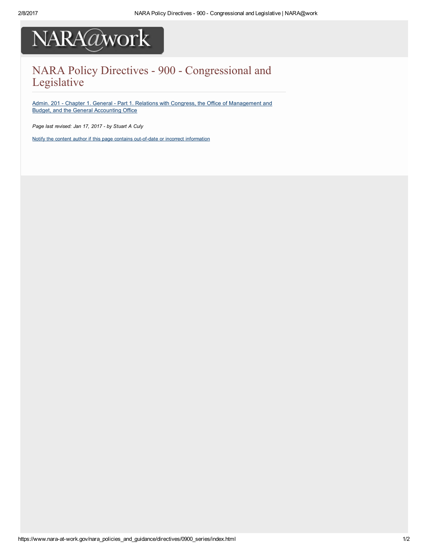

### NARA Policy Directives - 900 - Congressional and Legislative

Admin. 201 - Chapter 1. General - Part 1. Relations with Congress, the Office of [Management](https://www.nara-at-work.gov/nara_policies_and_guidance/directives/0900_series/201_ch1pt1.html) and Budget, and the General Accounting Office

Page last revised: Jan 17, 2017 - by Stuart A Culy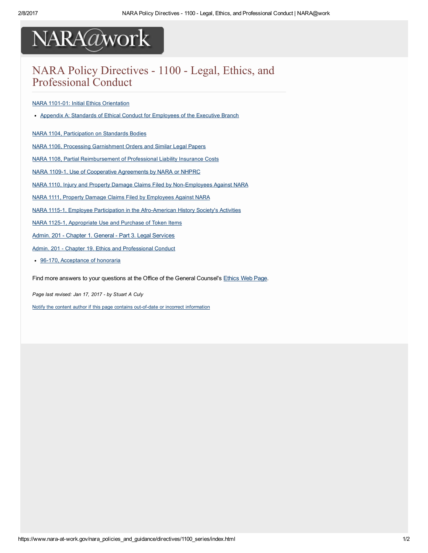### NARA Policy Directives - 1100 - Legal, Ethics, and Professional Conduct

#### NARA 1101-01: Initial Ethics [Orientation](https://www.nara-at-work.gov/files/1100_series/nara1101-01.pdf)

• Appendix A: Standards of Ethical Conduct for [Employees](https://www.nara-at-work.gov/files/1100_series/nara1101-01a.pdf) of the Executive Branch

NARA 1104, [Participation](https://www.nara-at-work.gov/files/1100_series/nara1104.pdf) on Standards Bodies

NARA 1106, Processing [Garnishment](https://www.nara-at-work.gov/files/1100_series/nara1106.pdf) Orders and Similar Legal Papers

NARA 1108, Partial [Reimbursement](https://www.nara-at-work.gov/files/1100_series/nara1108.pdf) of Professional Liability Insurance Costs

NARA 1109-1, Use of Cooperative [Agreements](https://www.nara-at-work.gov/nara_policies_and_guidance/directives/1100_series/1109_1.html) by NARA or NHPRC

NARA 1110, Injury and Property Damage Claims Filed by Non-Employees Against NARA

NARA 1111, Property Damage Claims Filed by [Employees](https://www.nara-at-work.gov/files/1100_series/nara1111.pdf) Against NARA

NARA 1115-1, Employee Participation in the Afro-American History Society's Activities

NARA 1125-1, [Appropriate](https://www.nara-at-work.gov/nara_policies_and_guidance/directives/1100_series/1125_1.html) Use and Purchase of Token Items

Admin. 201 - Chapter 1. General - Part 3. Legal [Services](https://www.nara-at-work.gov/nara_policies_and_guidance/directives/1100_series/201_ch1pt3.html)

Admin. 201 - Chapter 19. Ethics and [Professional](https://www.nara-at-work.gov/nara_policies_and_guidance/directives/1100_series/201_ch19.html) Conduct

• 96-170, [Acceptance](https://www.nara-at-work.gov/files/1100_series/96-170.pdf) of honoraria

Find more answers to your questions at the Office of the General Counsel's [Ethics](https://www.nara-at-work.gov/nara_organizations/n/ngc/ethics.html) Web Page.

Page last revised: Jan 17, 2017 - by Stuart A Culy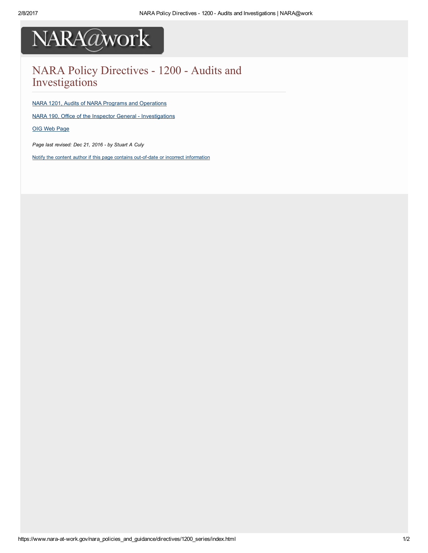

### NARA Policy Directives - 1200 - Audits and Investigations

NARA 1201, Audits of NARA Programs and [Operations](https://www.nara-at-work.gov/nara_policies_and_guidance/directives/1200_series/nara1201.html)

NARA 190, Office of the Inspector General - [Investigations](https://www.nara-at-work.gov/files/1200_series/nara0190.pdf)

OIG Web [Page](http://www.archives.gov/oig/)

Page last revised: Dec 21, 2016 - by Stuart A Culy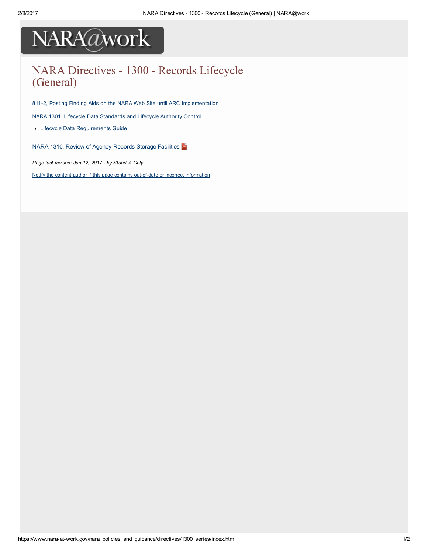### NARA Directives - 1300 - Records Lifecycle (General)

811-2, Posting Finding Aids on the NARA Web Site until ARC [Implementation](https://www.nara-at-work.gov/nara_policies_and_guidance/directives/0800_series/811_2.html)

NARA 1301, Lifecycle Data [Standards](https://www.nara-at-work.gov/files/1300_series/nara1301.pdf) and Lifecycle Authority Control

**.** Lifecycle Data [Requirements](https://www.nara-at-work.gov/archives_and_records_mgmt/archives_and_activities/accessioning_processing_description/lifecycle/index.html) Guide

NARA 1310, Review of Agency Records Storage [Facilities](https://www.nara-at-work.gov/files/1300_series/nara1310.pdf)

Page last revised: Jan 12, 2017 - by Stuart A Culy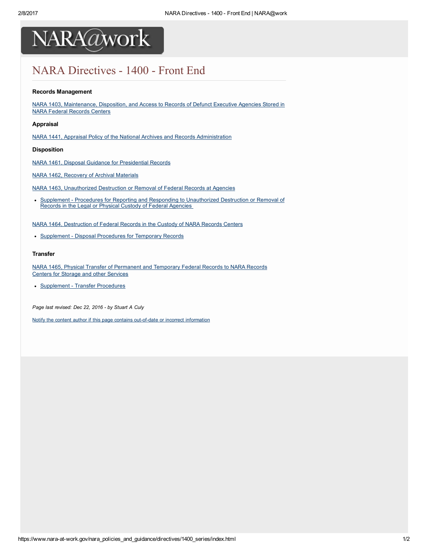

### NARA Directives - 1400 - Front End

#### Records Management

NARA 1403, [Maintenance,](https://www.nara-at-work.gov/files/1400_series/nara1403.pdf) Disposition, and Access to Records of Defunct Executive Agencies Stored in NARA Federal Records Centers

#### Appraisal

NARA 1441, Appraisal Policy of the National Archives and Records [Administration](https://www.nara-at-work.gov/files/1400_series/nara1441.pdf)

Disposition

NARA 1461, Disposal Guidance for [Presidential](https://www.nara-at-work.gov/files/1400_series/nara1461.pdf) Records

NARA 1462, [Recovery](https://www.nara-at-work.gov/files/1400_series/nara1462.pdf) of Archival Materials

NARA 1463, [Unauthorized](https://www.nara-at-work.gov/files/1400_series/nara1463.pdf) Destruction or Removal of Federal Records at Agencies

• Supplement - Procedures for Reporting and Responding to [Unauthorized](https://www.nara-at-work.gov/files/1400_series/nara1463-s1.pdf) Destruction or Removal of Records in the Legal or Physical Custody of Federal Agencies

NARA 1464, [Destruction](https://www.nara-at-work.gov/files/1400_series/nara1464.pdf) of Federal Records in the Custody of NARA Records Centers

• [Supplement](https://www.nara-at-work.gov/files/1400_series/nara1464-s1.pdf) - Disposal Procedures for Temporary Records

#### Transfer

NARA 1465, Physical Transfer of [Permanent](https://www.nara-at-work.gov/files/1400_series/nara1465.pdf) and Temporary Federal Records to NARA Records Centers for Storage and other Services

• [Supplement](https://www.nara-at-work.gov/files/1400_series/nara1465-s1.pdf) - Transfer Procedures

Page last revised: Dec 22, 2016 - by Stuart A Culy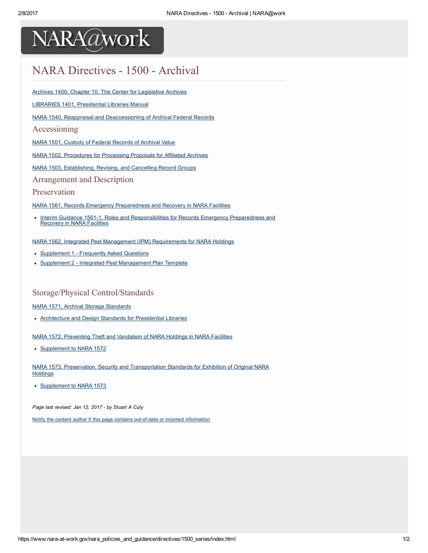

## NARA Directives - 1500 - Archival

Archives 1400, Chapter 10: The Center for [Legislative](https://www.nara-at-work.gov/nara_policies_and_guidance/directives/1500_series/1400_ch10.html) Archives

LIBRARIES 1401, [Presidential](https://www.nara-at-work.gov/nara_policies_and_guidance/directives/1500_series/1401_nl.html) Libraries Manual

NARA 1540, Reappraisal and [Deaccessioning](https://www.nara-at-work.gov/files/1500_series/nara1540.pdf) of Archival Federal Records

#### Accessioning

NARA 1501, Custody of Federal [Records](https://www.nara-at-work.gov/nara_policies_and_guidance/directives/1500_series/nara1501.html) of Archival Value

NARA 1502, [Procedures](https://www.nara-at-work.gov/nara_policies_and_guidance/directives/1500_series/nara1502.html) for Processing Proposals for Affiliated Archives

NARA 1503, [Establishing,](https://www.nara-at-work.gov/files/1500_series/nara1503.pdf) Revising, and Cancelling Record Groups

Arrangement and Description

#### Preservation

NARA 1561, Records Emergency [Preparedness](https://www.nara-at-work.gov/files/1500_series/nara1561.pdf) and Recovery in NARA Facilities

• Interim Guidance 1561-1, Roles and [Responsibilities](https://www.nara-at-work.gov/nara_policies_and_guidance/directives/1500_series/1561-1.html) for Records Emergency Preparedness and Recovery in NARA Facilities

NARA 1562, Integrated Pest Management (IPM) [Requirements](https://www.nara-at-work.gov/files/1500_series/nara1562.pdf) for NARA Holdings

- [Supplement](https://www.nara-at-work.gov/files/1500_series/nara1562-s1.pdf) 1 Frequently Asked Questions  $\bullet$
- $\bullet$ Supplement 2 - Integrated Pest [Management](https://www.nara-at-work.gov/files/1500_series/nara1562-s2.pdf) Plan Template

#### Storage/Physical Control/Standards

#### NARA 1571, Archival Storage [Standards](https://www.nara-at-work.gov/files/1500_series/nara1571.pdf)

[Architecture](https://www.nara-at-work.gov/files/1500_series/nara1571-s1.pdf) and Design Standards for Presidential Libraries

NARA 1572, [Preventing](https://www.nara-at-work.gov/nara_policies_and_guidance/directives/1500_series/nara1572.html) Theft and Vandalism of NARA Holdings in NARA Facilities

[Supplement](https://www.nara-at-work.gov/nara_policies_and_guidance/directives/1500_series/word/nara1572_suppl.doc) to NARA 1572

NARA 1573, Preservation, Security and [Transportation](https://www.nara-at-work.gov/nara_policies_and_guidance/directives/1500_series/nara1573.html) Standards for Exhibition of Original NARA **Holdings** 

[Supplement](https://www.nara-at-work.gov/nara_policies_and_guidance/directives/1500_series/word/nara1573_suppl.doc) to NARA 1573

Page last revised: Jan 12, 2017 - by Stuart A Culy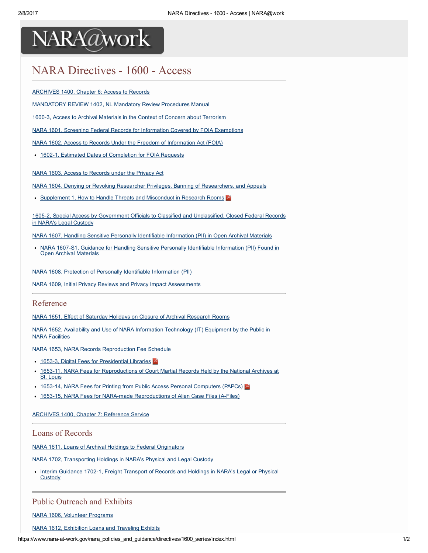## NARA Directives - 1600 - Access

**[ARCHIVES](https://www.nara-at-work.gov/nara_policies_and_guidance/directives/1600_series/1400_ch6.html) 1400, Chapter 6: Access to Records** 

[MANDATORY](https://www.nara-at-work.gov/nara_policies_and_guidance/directives/1600_series/mandatory_review_1402.html) REVIEW 1402, NL Mandatory Review Procedures Manual

1600-3, Access to Archival Materials in the Context of Concern about [Terrorism](https://www.nara-at-work.gov/nara_policies_and_guidance/directives/1600_series/1600_3.html)

NARA 1601, Screening Federal Records for Information Covered by FOIA [Exemptions](https://www.nara-at-work.gov/files/1600_series/nara1601.pdf)

NARA 1602, Access to Records Under the Freedom of [Information](https://www.nara-at-work.gov/files/1600_series/nara1602.pdf) Act (FOIA)

• 1602-1, Estimated Dates of [Completion](https://www.nara-at-work.gov/nara_policies_and_guidance/directives/1600_series/1602_1.html) for FOIA Requests

NARA 1603, Access to [Records](https://www.nara-at-work.gov/files/1600_series/nara1603.pdf) under the Privacy Act

NARA 1604, Denying or Revoking Researcher Privileges, Banning of [Researchers,](https://www.nara-at-work.gov/files/1600_series/nara1604.pdf) and Appeals

• [Supplement](https://www.nara-at-work.gov/files/1600_series/nara1604-s1.pdf) 1, How to Handle Threats and Misconduct in Research Rooms

16052, Special Access by Government Officials to Classified and [Unclassified,](https://www.nara-at-work.gov/nara_policies_and_guidance/directives/1600_series/1605_2.html) Closed Federal Records in NARA's Legal Custody

NARA 1607, Handling Sensitive Personally Identifiable [Information](https://www.nara-at-work.gov/files/1600_series/nara1607.pdf) (PII) in Open Archival Materials

• NARA 1607-S1, Guidance for Handling Sensitive Personally Identifiable [Information](https://www.nara-at-work.gov/files/1600_series/nara1607-s1.pdf) (PII) Found in Open Archival Materials

NARA 1608, Protection of Personally Identifiable [Information](https://www.nara-at-work.gov/files/1600_series/nara1608.pdf) (PII)

NARA 1609, Initial Privacy Reviews and Privacy Impact [Assessments](https://www.nara-at-work.gov/files/1600_series/nara1609.pdf)

Reference

NARA 1651, Effect of Saturday Holidays on Closure of Archival [Research](https://www.nara-at-work.gov/files/1600_series/nara1651.pdf) Rooms

NARA 1652, Availability and Use of NARA Information [Technology](https://www.nara-at-work.gov/files/1600_series/nara1652.pdf) (IT) Equipment by the Public in NARA Facilities

NARA 1653, NARA Records [Reproduction](https://www.nara-at-work.gov/files/1600_series/nara1653-1.pdf) Fee Schedule

- 1653-3, Digital Fees for [Presidential](https://www.nara-at-work.gov/files/1600_series/nara1653-3.pdf) Libraries
- 1653-11, NARA Fees for [Reproductions](https://www.nara-at-work.gov/files/1600_series/nara1653_11.pdf) of Court Martial Records Held by the National Archives at St. Louis
- 1653-14, NARA Fees for Printing from Public Access Personal [Computers](https://www.nara-at-work.gov/files/1600_series/nara1653-14.pdf) (PAPCs)
- 1653-15, NARA Fees for NARA-made [Reproductions](https://www.nara-at-work.gov/files/1600_series/nara1653-15.pdf) of Alien Case Files (A-Files)

[ARCHIVES](https://www.nara-at-work.gov/nara_policies_and_guidance/directives/1600_series/1400_ch7.html) 1400, Chapter 7: Reference Service

#### Loans of Records

NARA 1611, Loans of Archival Holdings to Federal [Originators](https://www.nara-at-work.gov/files/1600_series/nara1611.pdf)

NARA 1702, [Transporting](https://www.nara-at-work.gov/nara_policies_and_guidance/directives/1600_series/nara1702.html) Holdings in NARA's Physical and Legal Custody

Interim Guidance 1702-1, Freight [Transport](https://www.nara-at-work.gov/nara_policies_and_guidance/directives/1600_series/1702_1.html) of Records and Holdings in NARA's Legal or Physical **Custody** 

#### Public Outreach and Exhibits

NARA 1606, Volunteer [Programs](https://www.nara-at-work.gov/files/1600_series/nara1606.pdf)

NARA 1612, [Exhibition](https://www.nara-at-work.gov/nara_policies_and_guidance/directives/1600_series/nara1612.html) Loans and Traveling Exhibits

https://www.nara-at-work.gov/nara\_policies\_and\_guidance/directives/1600\_series/index.html 1/2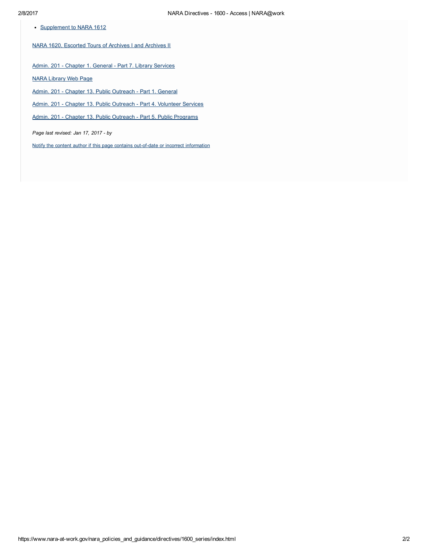• [Supplement](https://www.nara-at-work.gov/nara_policies_and_guidance/directives/1600_series/word/nara1612_suppl.doc) to NARA 1612

NARA 1620, [Escorted](https://www.nara-at-work.gov/files/1600_series/nara1620.pdf) Tours of Archives I and Archives II

Admin. 201 - Chapter 1. General - Part 7. Library [Services](https://www.nara-at-work.gov/nara_policies_and_guidance/directives/1600_series/201_ch1pt7.html)

NARA [Library](http://www.archives.gov/research/alic/) Web Page

Admin. 201 - Chapter 13. Public [Outreach](https://www.nara-at-work.gov/nara_policies_and_guidance/directives/1600_series/201_ch13_pt1.html) - Part 1. General

Admin. 201 - Chapter 13. Public Outreach - Part 4. [Volunteer](https://www.nara-at-work.gov/nara_policies_and_guidance/directives/1600_series/201_ch13_pt4.html) Services

Admin. 201 - Chapter 13. Public Outreach - Part 5. Public [Programs](https://www.nara-at-work.gov/nara_policies_and_guidance/directives/1600_series/201_ch13_pt5.html)

Page last revised: Jan 17, 2017 - by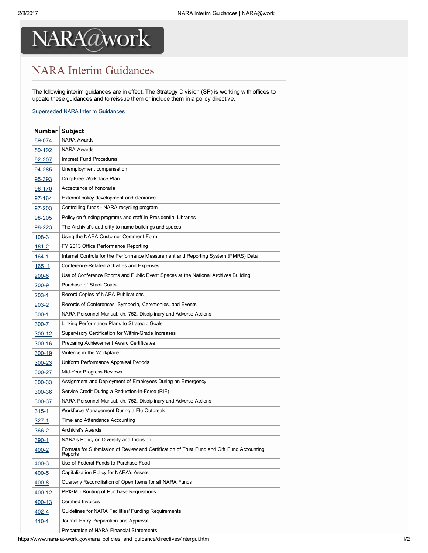## NARA Interim Guidances

The following interim guidances are in effect. The Strategy Division (SP) is working with offices to update these guidances and to reissue them or include them in a policy directive.

#### [Superseded](https://www.nara-at-work.gov/nara_policies_and_guidance/directives/intergui_hist.html) NARA Interim Guidances

| Number Subject |                                                                                                      |
|----------------|------------------------------------------------------------------------------------------------------|
| 89-074         | <b>NARA Awards</b>                                                                                   |
| 89-192         | NARA Awards                                                                                          |
| 92-207         | Imprest Fund Procedures                                                                              |
| 94-285         | Unemployment compensation                                                                            |
| <u>95-393</u>  | Drug-Free Workplace Plan                                                                             |
| 96-170         | Acceptance of honoraria                                                                              |
| 97-164         | External policy development and clearance                                                            |
| <u>97-203</u>  | Controlling funds - NARA recycling program                                                           |
| 98-205         | Policy on funding programs and staff in Presidential Libraries                                       |
| <u>98-223</u>  | The Archivist's authority to name buildings and spaces                                               |
| <u> 108-3</u>  | Using the NARA Customer Comment Form                                                                 |
| <u> 161-2</u>  | FY 2013 Office Performance Reporting                                                                 |
| <u> 164-1</u>  | Internal Controls for the Performance Measurement and Reporting System (PMRS) Data                   |
| <u> 165 1</u>  | Conference-Related Activities and Expenses                                                           |
| <u> 200-8</u>  | Use of Conference Rooms and Public Event Spaces at the National Archives Building                    |
| <u> 200-9</u>  | Purchase of Stack Coats                                                                              |
| <u> 203-1</u>  | Record Copies of NARA Publications                                                                   |
| <u> 203-2</u>  | Records of Conferences, Symposia, Ceremonies, and Events                                             |
| $300-1$        | NARA Personnel Manual, ch. 752, Disciplinary and Adverse Actions                                     |
| <u>300-7</u>   | Linking Performance Plans to Strategic Goals                                                         |
| <u>300-12</u>  | Supervisory Certification for Within-Grade Increases                                                 |
| <u>300-16</u>  | <b>Preparing Achievement Award Certificates</b>                                                      |
| <u>300-19</u>  | Violence in the Workplace                                                                            |
| <u>300-23</u>  | Uniform Performance Appraisal Periods                                                                |
| 300-27         | Mid-Year Progress Reviews                                                                            |
| <u>300-33</u>  | Assignment and Deployment of Employees During an Emergency                                           |
| <u>300-36</u>  | Service Credit During a Reduction-In-Force (RIF)                                                     |
| 300-37         | NARA Personnel Manual, ch. 752, Disciplinary and Adverse Actions                                     |
| <u>315-1</u>   | Workforce Management During a Flu Outbreak                                                           |
| 327-1          | Time and Attendance Accounting                                                                       |
| <u>366-2</u>   | <b>Archivist's Awards</b>                                                                            |
| 390-1          | NARA's Policy on Diversity and Inclusion                                                             |
| <u>400-2</u>   | Formats for Submission of Review and Certification of Trust Fund and Gift Fund Accounting<br>Reports |
| <u>400-3</u>   | Use of Federal Funds to Purchase Food                                                                |
| <u>400-5</u>   | Capitalization Policy for NARA's Assets                                                              |
| <u>400-8</u>   | Quarterly Reconciliation of Open Items for all NARA Funds                                            |
| <u>400-12</u>  | PRISM - Routing of Purchase Requisitions                                                             |
| $400 - 13$     | Certified Invoices                                                                                   |
| <u>402-4</u>   | Guidelines for NARA Facilities' Funding Requirements                                                 |
| <u>410-1</u>   | Journal Entry Preparation and Approval                                                               |
|                | Preparation of NARA Financial Statements                                                             |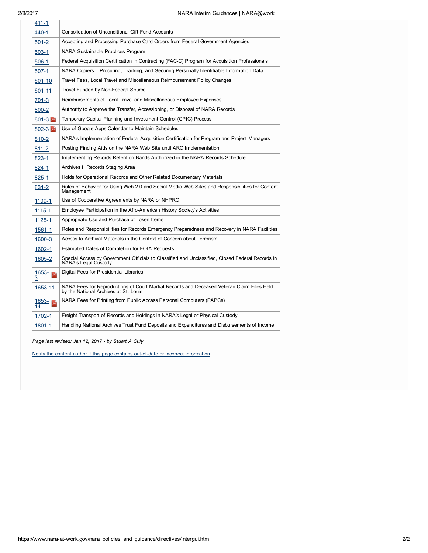| 411-1             |                                                                                                                                     |
|-------------------|-------------------------------------------------------------------------------------------------------------------------------------|
| 440-1             | <b>Consolidation of Unconditional Gift Fund Accounts</b>                                                                            |
| $501 - 2$         | Accepting and Processing Purchase Card Orders from Federal Government Agencies                                                      |
| $503-1$           | NARA Sustainable Practices Program                                                                                                  |
| $506-1$           | Federal Acquisition Certification in Contracting (FAC-C) Program for Acquisition Professionals                                      |
| 507-1             | NARA Copiers – Procuring, Tracking, and Securing Personally Identifiable Information Data                                           |
| 601-10            | Travel Fees, Local Travel and Miscellaneous Reimbursement Policy Changes                                                            |
| 601-11            | Travel Funded by Non-Federal Source                                                                                                 |
| $701 - 3$         | Reimbursements of Local Travel and Miscellaneous Employee Expenses                                                                  |
| 800-2             | Authority to Approve the Transfer, Accessioning, or Disposal of NARA Records                                                        |
| $801 - 3$         | Temporary Capital Planning and Investment Control (CPIC) Process                                                                    |
| $802 - 3$         | Use of Google Apps Calendar to Maintain Schedules                                                                                   |
| 810-2             | NARA's Implementation of Federal Acquisition Certification for Program and Project Managers                                         |
| 811-2             | Posting Finding Aids on the NARA Web Site until ARC Implementation                                                                  |
| 823-1             | Implementing Records Retention Bands Authorized in the NARA Records Schedule                                                        |
| $824 - 1$         | Archives II Records Staging Area                                                                                                    |
| 825-1             | Holds for Operational Records and Other Related Documentary Materials                                                               |
| <u>831-2</u>      | Rules of Behavior for Using Web 2.0 and Social Media Web Sites and Responsibilities for Content<br>Management                       |
| 1109-1            | Use of Cooperative Agreements by NARA or NHPRC                                                                                      |
| 1115-1            | Employee Participation in the Afro-American History Society's Activities                                                            |
| 1125-1            | Appropriate Use and Purchase of Token Items                                                                                         |
| 1561-1            | Roles and Responsibilities for Records Emergency Preparedness and Recovery in NARA Facilities                                       |
| 1600-3            | Access to Archival Materials in the Context of Concern about Terrorism                                                              |
| 1602-1            | Estimated Dates of Completion for FOIA Requests                                                                                     |
| <u> 1605-2</u>    | Special Access by Government Officials to Classified and Unclassified, Closed Federal Records in<br>NARA's Legal Custody            |
| $\frac{1653}{3}$  | Digital Fees for Presidential Libraries                                                                                             |
| 1653-11           | NARA Fees for Reproductions of Court Martial Records and Deceased Veteran Claim Files Held<br>by the National Archives at St. Louis |
| $\frac{1653}{14}$ | NARA Fees for Printing from Public Access Personal Computers (PAPCs)                                                                |
| 1702-1            | Freight Transport of Records and Holdings in NARA's Legal or Physical Custody                                                       |
| 1801-1            | Handling National Archives Trust Fund Deposits and Expenditures and Disbursements of Income                                         |
|                   |                                                                                                                                     |

Page last revised: Jan 12, 2017 - by Stuart A Culy

Notify the content author if this page contains out-of-date or incorrect [information](https://www.nara-at-work.gov/forms/content-feedback/index.html?page=/nara_policies_and_guidance/directives/intergui.html)

Preparation of NARA Financial Statements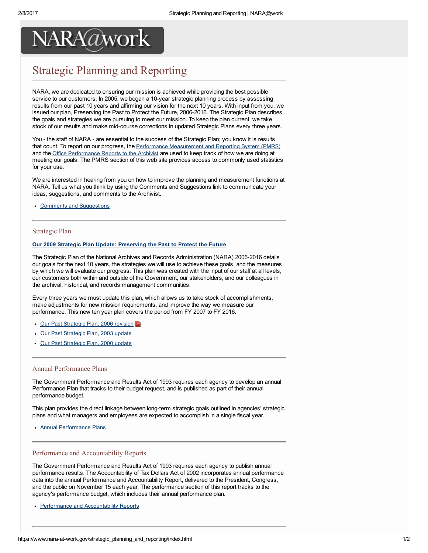## Strategic Planning and Reporting

NARA, we are dedicated to ensuring our mission is achieved while providing the best possible service to our customers. In 2005, we began a 10-year strategic planning process by assessing results from our past 10 years and affirming our vision for the next 10 years. With input from you, we issued our plan, Preserving the Past to Protect the Future, 2006-2016. The Strategic Plan describes the goals and strategies we are pursuing to meet our mission. To keep the plan current, we take stock of our results and make mid-course corrections in updated Strategic Plans every three years.

You - the staff of NARA - are essential to the success of the Strategic Plan; you know it is results that count. To report on our progress, the Performance [Measurement](http://pmrspub.nara.gov/publish/pages/index.html) and Reporting System (PMRS) and the Office [Performance](https://www.nara-at-work.gov/strategic_planning_and_reporting/quarterly_reports/index.html) Reports to the Archivist are used to keep track of how we are doing at meeting our goals. The PMRS section of this web site provides access to commonly used statistics for your use.

We are interested in hearing from you on how to improve the planning and measurement functions at NARA. Tell us what you think by using the Comments and Suggestions link to communicate your ideas, suggestions, and comments to the Archivist.

Comments and [Suggestions](mailto:vision@nara.gov)

#### Strategic Plan

#### Our 2009 Strategic Plan Update: [Preserving](http://www.archives.gov/about/plans-reports/strategic-plan/) the Past to Protect the Future

The Strategic Plan of the National Archives and Records Administration (NARA) 2006-2016 details our goals for the next 10 years, the strategies we will use to achieve these goals, and the measures by which we will evaluate our progress. This plan was created with the input of our staff at all levels, our customers both within and outside of the Government, our stakeholders, and our colleagues in the archival, historical, and records management communities.

Every three years we must update this plan, which allows us to take stock of accomplishments, make adjustments for new mission requirements, and improve the way we measure our performance. This new ten year plan covers the period from FY 2007 to FY 2016.

- Our Past [Strategic](http://www.archives.gov/about/plans-reports/strategic-plan/2006/nara-strategic-plan-2006-2016.pdf) Plan, 2006 revision
- Our Past [Strategic](http://www.archives.gov/about/plans-reports/strategic-plan/2003/) Plan, 2003 update
- Our Past [Strategic](http://www.archives.gov/about/plans-reports/strategic-plan/2000/) Plan, 2000 update

#### Annual Performance Plans

The Government Performance and Results Act of 1993 requires each agency to develop an annual Performance Plan that tracks to their budget request, and is published as part of their annual performance budget.

This plan provides the direct linkage between long-term strategic goals outlined in agencies' strategic plans and what managers and employees are expected to accomplish in a single fiscal year.

Annual [Performance](http://www.archives.gov/about/plans-reports/performance-plan/) Plans

#### Performance and Accountability Reports

The Government Performance and Results Act of 1993 requires each agency to publish annual performance results. The Accountability of Tax Dollars Act of 2002 incorporates annual performance data into the annual Performance and Accountability Report, delivered to the President, Congress, and the public on November 15 each year. The performance section of this report tracks to the agency's performance budget, which includes their annual performance plan.

• Performance and [Accountability](http://www.archives.gov/about/plans-reports/performance-accountability/) Reports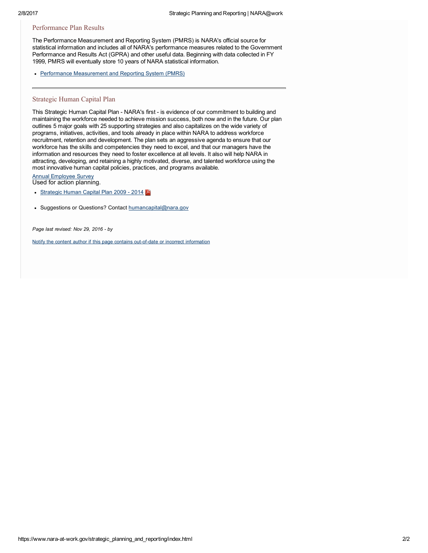#### Performance Plan Results

The Performance Measurement and Reporting System (PMRS) is NARA's official source for statistical information and includes all of NARA's performance measures related to the Government Performance and Results Act (GPRA) and other useful data. Beginning with data collected in FY 1999, PMRS will eventually store 10 years of NARA statistical information.

• Performance [Measurement](http://pmrspub.nara.gov/publish/pages/index.html) and Reporting System (PMRS)

#### Strategic Human Capital Plan

This Strategic Human Capital Plan - NARA's first - is evidence of our commitment to building and maintaining the workforce needed to achieve mission success, both now and in the future. Our plan outlines 5 major goals with 25 supporting strategies and also capitalizes on the wide variety of programs, initiatives, activities, and tools already in place within NARA to address workforce recruitment, retention and development. The plan sets an aggressive agenda to ensure that our workforce has the skills and competencies they need to excel, and that our managers have the information and resources they need to foster excellence at all levels. It also will help NARA in attracting, developing, and retaining a highly motivated, diverse, and talented workforce using the most innovative human capital policies, practices, and programs available.

Annual [Employee](https://www.nara-at-work.gov/staff_resources_and_services/employment/survey) Survey

Used for action planning.

- [Strategic](https://www.nara-at-work.gov/strategic_planning_and_reporting/human-capital-plan.pdf) Human Capital Plan 2009 2014
- Suggestions or Questions? Contact [humancapital@nara.gov](mailto:humancapital@nara.gov)

Page last revised: Nov 29, 2016 - by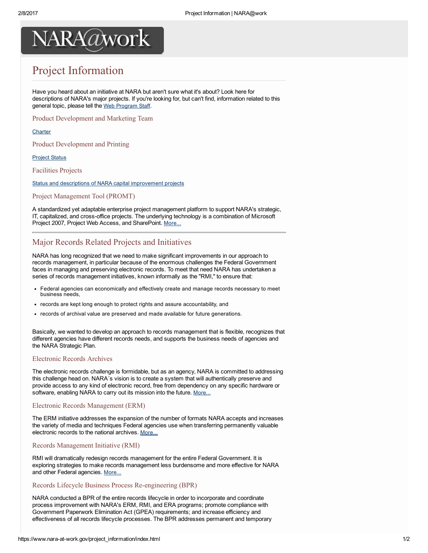## Project Information

Have you heard about an initiative at NARA but aren't sure what it's about? Look here for descriptions of NARA's major projects. If you're looking for, but can't find, information related to this general topic, please tell the Web [Program](mailto:webprogram@nara.gov) Staff.

Product Development and Marketing Team

#### **[Charter](https://www.nara-at-work.gov/project_information/product_team/index.html)**

Product Development and Printing

[Project](https://www.nara-at-work.gov/project_information/products/web_report.html) Status

Facilities Projects

Status and descriptions of NARA capital [improvement](https://www.nara-at-work.gov/project_information/facilities/index.html) projects

#### Project Management Tool (PROMT)

A standardized yet adaptable enterprise project management platform to support NARA's strategic, IT, capitalized, and cross-office projects. The underlying technology is a combination of Microsoft Project 2007, Project Web Access, and SharePoint. [More...](https://www.nara-at-work.gov/strategic_planning_and_reporting/promt/index.html)

### Major Records Related Projects and Initiatives

NARA has long recognized that we need to make significant improvements in our approach to records management, in particular because of the enormous challenges the Federal Government faces in managing and preserving electronic records. To meet that need NARA has undertaken a series of records management initiatives, known informally as the "RMI," to ensure that:

- Federal agencies can economically and effectively create and manage records necessary to meet business needs,
- records are kept long enough to protect rights and assure accountability, and
- records of archival value are preserved and made available for future generations.

Basically, we wanted to develop an approach to records management that is flexible, recognizes that different agencies have different records needs, and supports the business needs of agencies and the NARA Strategic Plan.

#### Electronic Records Archives

The electronic records challenge is formidable, but as an agency, NARA is committed to addressing this challenge head on. NARA´s vision is to create a system that will authentically preserve and provide access to any kind of electronic record, free from dependency on any specific hardware or software, enabling NARA to carry out its mission into the future. [More...](https://www.nara-at-work.gov/project_information/era/index.html)

#### Electronic Records Management (ERM)

The ERM initiative addresses the expansion of the number of formats NARA accepts and increases the variety of media and techniques Federal agencies use when transferring permanently valuable electronic records to the national archives. [More...](http://www.archives.gov/records-mgmt/initiatives/erm-overview.html)

#### Records Management Initiative (RMI)

RMI will dramatically redesign records management for the entire Federal Government. It is exploring strategies to make records management less burdensome and more effective for NARA and other Federal agencies. [More...](http://www.archives.gov/records-mgmt/initiatives/rm-redesign-project.html)

#### Records Lifecycle Business Process Re-engineering (BPR)

NARA conducted a BPR of the entire records lifecycle in order to incorporate and coordinate process improvement with NARA's ERM, RMI, and ERA programs; promote compliance with Government Paperwork Elimination Act (GPEA) requirements; and increase efficiency and effectiveness of all records lifecycle processes. The BPR addresses permanent and temporary